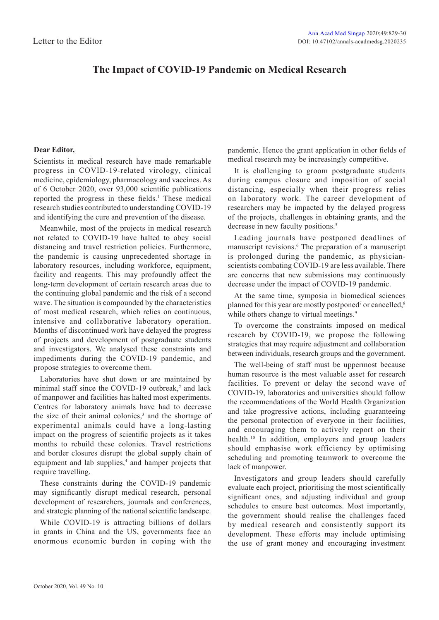## **The Impact of COVID-19 Pandemic on Medical Research**

## **Dear Editor,**

Scientists in medical research have made remarkable progress in COVID-19-related virology, clinical medicine, epidemiology, pharmacology and vaccines. As of 6 October 2020, over 93,000 scientific publications reported the progress in these fields.<sup>1</sup> These medical research studies contributed to understanding COVID-19 and identifying the cure and prevention of the disease.

Meanwhile, most of the projects in medical research not related to COVID-19 have halted to obey social distancing and travel restriction policies. Furthermore, the pandemic is causing unprecedented shortage in laboratory resources, including workforce, equipment, facility and reagents. This may profoundly affect the long-term development of certain research areas due to the continuing global pandemic and the risk of a second wave. The situation is compounded by the characteristics of most medical research, which relies on continuous, intensive and collaborative laboratory operation. Months of discontinued work have delayed the progress of projects and development of postgraduate students and investigators. We analysed these constraints and impediments during the COVID-19 pandemic, and propose strategies to overcome them.

Laboratories have shut down or are maintained by minimal staff since the COVID-19 outbreak,<sup>2</sup> and lack of manpower and facilities has halted most experiments. Centres for laboratory animals have had to decrease the size of their animal colonies,<sup>3</sup> and the shortage of experimental animals could have a long-lasting impact on the progress of scientific projects as it takes months to rebuild these colonies. Travel restrictions and border closures disrupt the global supply chain of equipment and lab supplies,<sup>4</sup> and hamper projects that require travelling.

These constraints during the COVID-19 pandemic may significantly disrupt medical research, personal development of researchers, journals and conferences, and strategic planning of the national scientific landscape.

While COVID-19 is attracting billions of dollars in grants in China and the US, governments face an enormous economic burden in coping with the pandemic. Hence the grant application in other fields of medical research may be increasingly competitive.

It is challenging to groom postgraduate students during campus closure and imposition of social distancing, especially when their progress relies on laboratory work. The career development of researchers may be impacted by the delayed progress of the projects, challenges in obtaining grants, and the decrease in new faculty positions.<sup>5</sup>

Leading journals have postponed deadlines of manuscript revisions.<sup>6</sup> The preparation of a manuscript is prolonged during the pandemic, as physicianscientists combating COVID-19 are less available. There are concerns that new submissions may continuously decrease under the impact of COVID-19 pandemic.

At the same time, symposia in biomedical sciences planned for this year are mostly postponed<sup>7</sup> or cancelled,<sup>8</sup> while others change to virtual meetings.<sup>9</sup>

To overcome the constraints imposed on medical research by COVID-19, we propose the following strategies that may require adjustment and collaboration between individuals, research groups and the government.

The well-being of staff must be uppermost because human resource is the most valuable asset for research facilities. To prevent or delay the second wave of COVID-19, laboratories and universities should follow the recommendations of the World Health Organization and take progressive actions, including guaranteeing the personal protection of everyone in their facilities, and encouraging them to actively report on their health.<sup>10</sup> In addition, employers and group leaders should emphasise work efficiency by optimising scheduling and promoting teamwork to overcome the lack of manpower.

Investigators and group leaders should carefully evaluate each project, prioritising the most scientifically significant ones, and adjusting individual and group schedules to ensure best outcomes. Most importantly, the government should realise the challenges faced by medical research and consistently support its development. These efforts may include optimising the use of grant money and encouraging investment